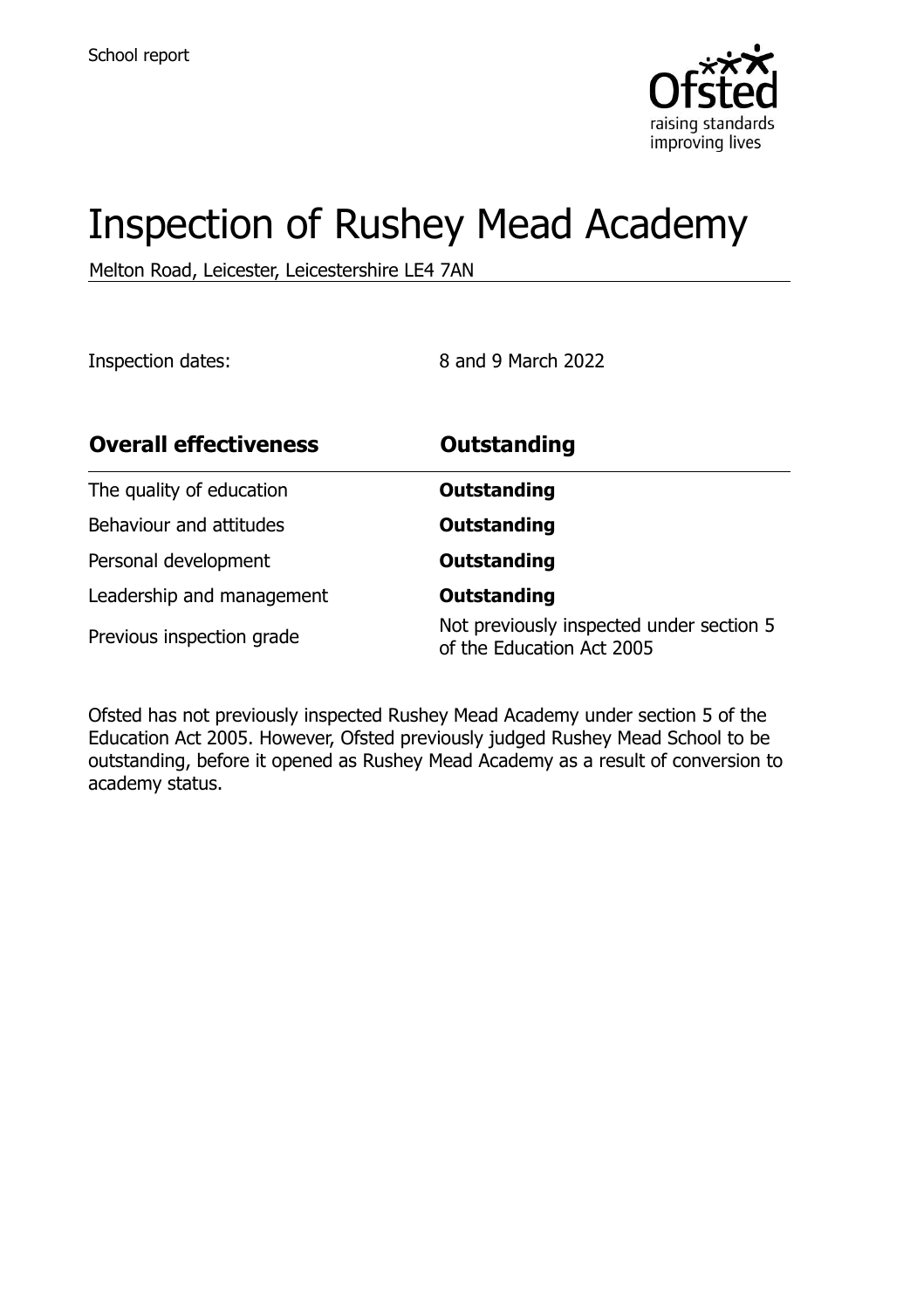

# Inspection of Rushey Mead Academy

Melton Road, Leicester, Leicestershire LE4 7AN

Inspection dates: 8 and 9 March 2022

| <b>Overall effectiveness</b> | <b>Outstanding</b>                                                    |
|------------------------------|-----------------------------------------------------------------------|
| The quality of education     | <b>Outstanding</b>                                                    |
| Behaviour and attitudes      | <b>Outstanding</b>                                                    |
| Personal development         | <b>Outstanding</b>                                                    |
| Leadership and management    | <b>Outstanding</b>                                                    |
| Previous inspection grade    | Not previously inspected under section 5<br>of the Education Act 2005 |

Ofsted has not previously inspected Rushey Mead Academy under section 5 of the Education Act 2005. However, Ofsted previously judged Rushey Mead School to be outstanding, before it opened as Rushey Mead Academy as a result of conversion to academy status.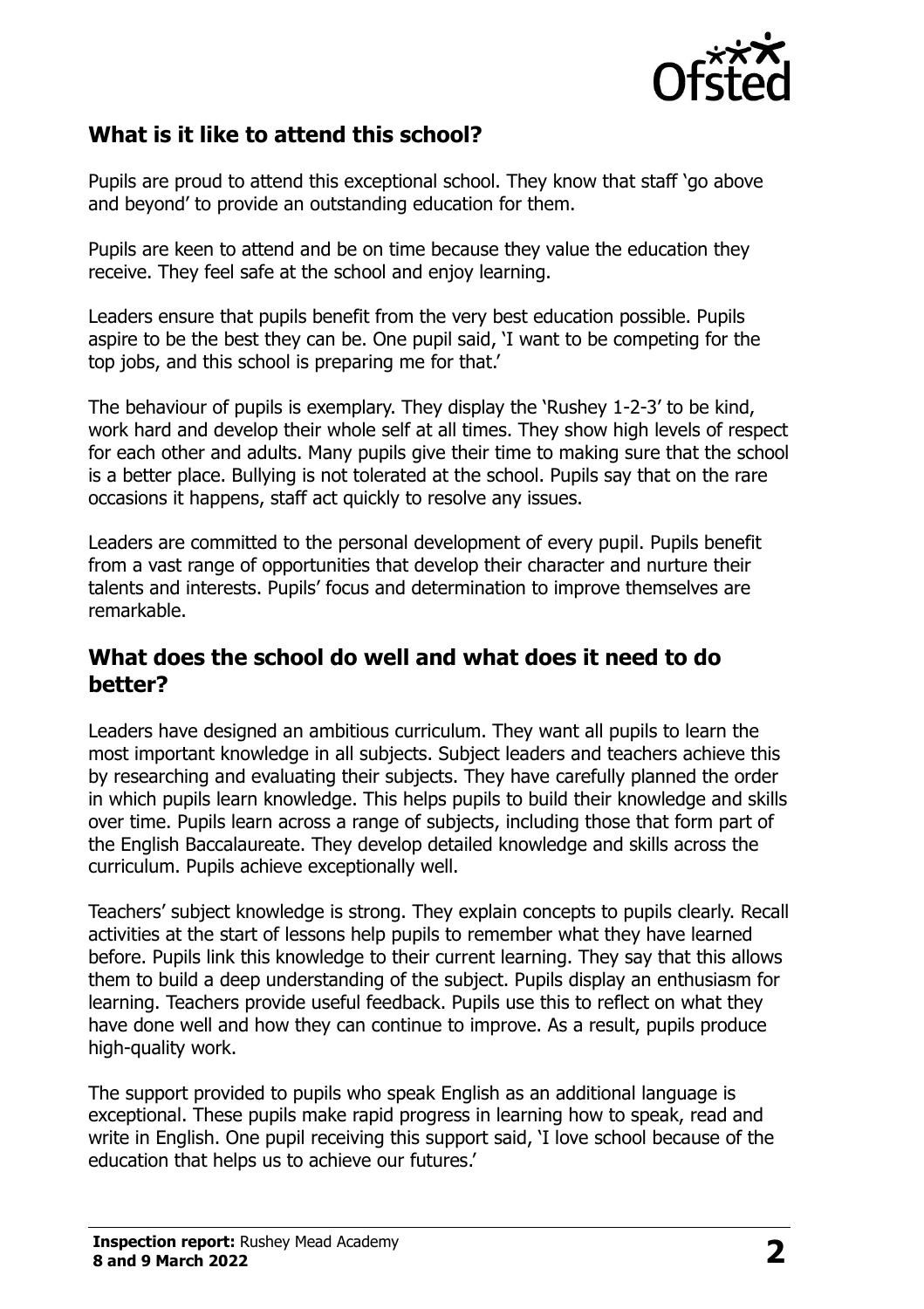

## **What is it like to attend this school?**

Pupils are proud to attend this exceptional school. They know that staff 'go above and beyond' to provide an outstanding education for them.

Pupils are keen to attend and be on time because they value the education they receive. They feel safe at the school and enjoy learning.

Leaders ensure that pupils benefit from the very best education possible. Pupils aspire to be the best they can be. One pupil said, 'I want to be competing for the top jobs, and this school is preparing me for that.'

The behaviour of pupils is exemplary. They display the 'Rushey 1-2-3' to be kind, work hard and develop their whole self at all times. They show high levels of respect for each other and adults. Many pupils give their time to making sure that the school is a better place. Bullying is not tolerated at the school. Pupils say that on the rare occasions it happens, staff act quickly to resolve any issues.

Leaders are committed to the personal development of every pupil. Pupils benefit from a vast range of opportunities that develop their character and nurture their talents and interests. Pupils' focus and determination to improve themselves are remarkable.

#### **What does the school do well and what does it need to do better?**

Leaders have designed an ambitious curriculum. They want all pupils to learn the most important knowledge in all subjects. Subject leaders and teachers achieve this by researching and evaluating their subjects. They have carefully planned the order in which pupils learn knowledge. This helps pupils to build their knowledge and skills over time. Pupils learn across a range of subjects, including those that form part of the English Baccalaureate. They develop detailed knowledge and skills across the curriculum. Pupils achieve exceptionally well.

Teachers' subject knowledge is strong. They explain concepts to pupils clearly. Recall activities at the start of lessons help pupils to remember what they have learned before. Pupils link this knowledge to their current learning. They say that this allows them to build a deep understanding of the subject. Pupils display an enthusiasm for learning. Teachers provide useful feedback. Pupils use this to reflect on what they have done well and how they can continue to improve. As a result, pupils produce high-quality work.

The support provided to pupils who speak English as an additional language is exceptional. These pupils make rapid progress in learning how to speak, read and write in English. One pupil receiving this support said, 'I love school because of the education that helps us to achieve our futures.'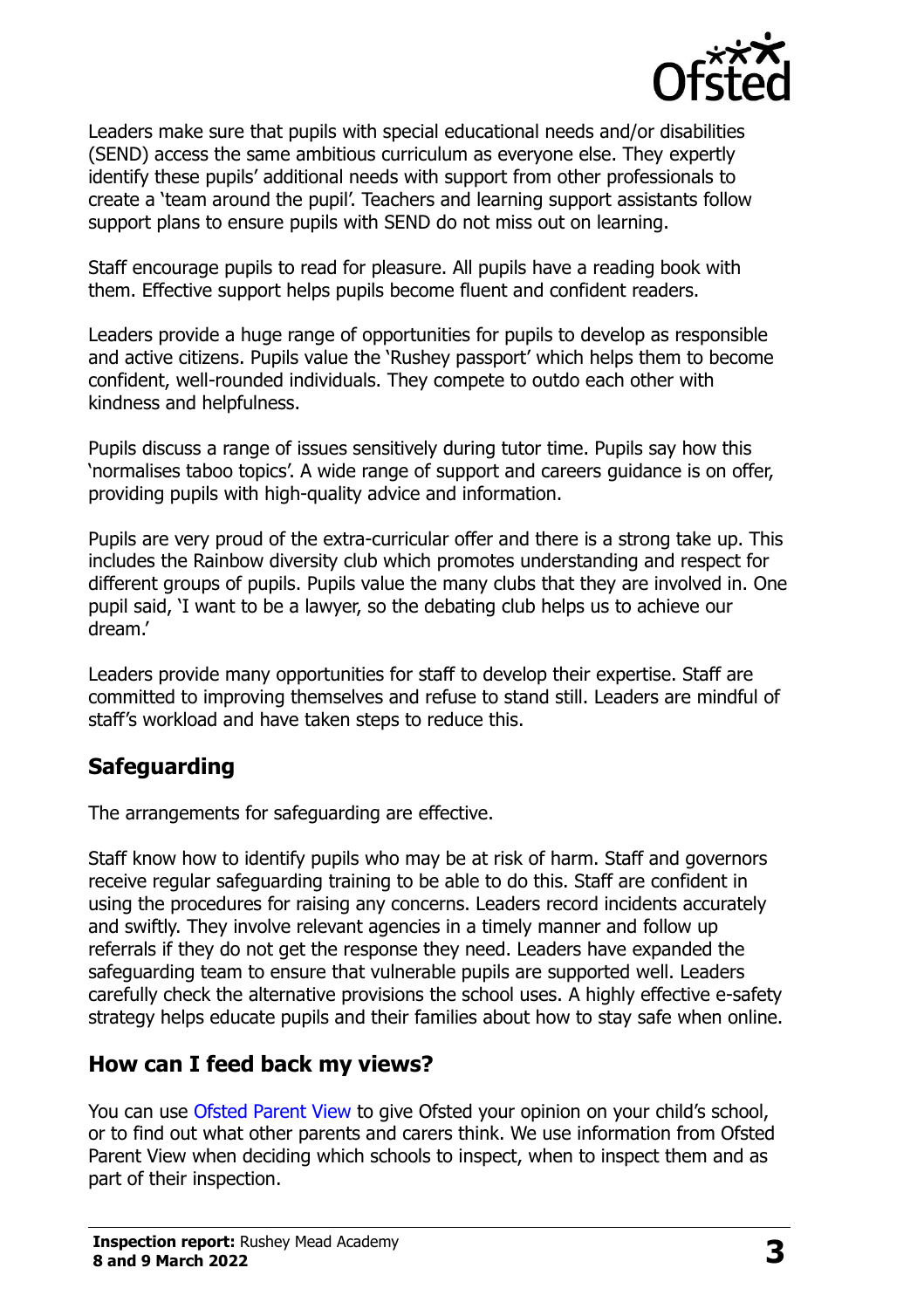

Leaders make sure that pupils with special educational needs and/or disabilities (SEND) access the same ambitious curriculum as everyone else. They expertly identify these pupils' additional needs with support from other professionals to create a 'team around the pupil'. Teachers and learning support assistants follow support plans to ensure pupils with SEND do not miss out on learning.

Staff encourage pupils to read for pleasure. All pupils have a reading book with them. Effective support helps pupils become fluent and confident readers.

Leaders provide a huge range of opportunities for pupils to develop as responsible and active citizens. Pupils value the 'Rushey passport' which helps them to become confident, well-rounded individuals. They compete to outdo each other with kindness and helpfulness.

Pupils discuss a range of issues sensitively during tutor time. Pupils say how this 'normalises taboo topics'. A wide range of support and careers guidance is on offer, providing pupils with high-quality advice and information.

Pupils are very proud of the extra-curricular offer and there is a strong take up. This includes the Rainbow diversity club which promotes understanding and respect for different groups of pupils. Pupils value the many clubs that they are involved in. One pupil said, 'I want to be a lawyer, so the debating club helps us to achieve our dream.'

Leaders provide many opportunities for staff to develop their expertise. Staff are committed to improving themselves and refuse to stand still. Leaders are mindful of staff's workload and have taken steps to reduce this.

### **Safeguarding**

The arrangements for safeguarding are effective.

Staff know how to identify pupils who may be at risk of harm. Staff and governors receive regular safeguarding training to be able to do this. Staff are confident in using the procedures for raising any concerns. Leaders record incidents accurately and swiftly. They involve relevant agencies in a timely manner and follow up referrals if they do not get the response they need. Leaders have expanded the safeguarding team to ensure that vulnerable pupils are supported well. Leaders carefully check the alternative provisions the school uses. A highly effective e-safety strategy helps educate pupils and their families about how to stay safe when online.

#### **How can I feed back my views?**

You can use [Ofsted Parent View](http://parentview.ofsted.gov.uk/) to give Ofsted your opinion on your child's school, or to find out what other parents and carers think. We use information from Ofsted Parent View when deciding which schools to inspect, when to inspect them and as part of their inspection.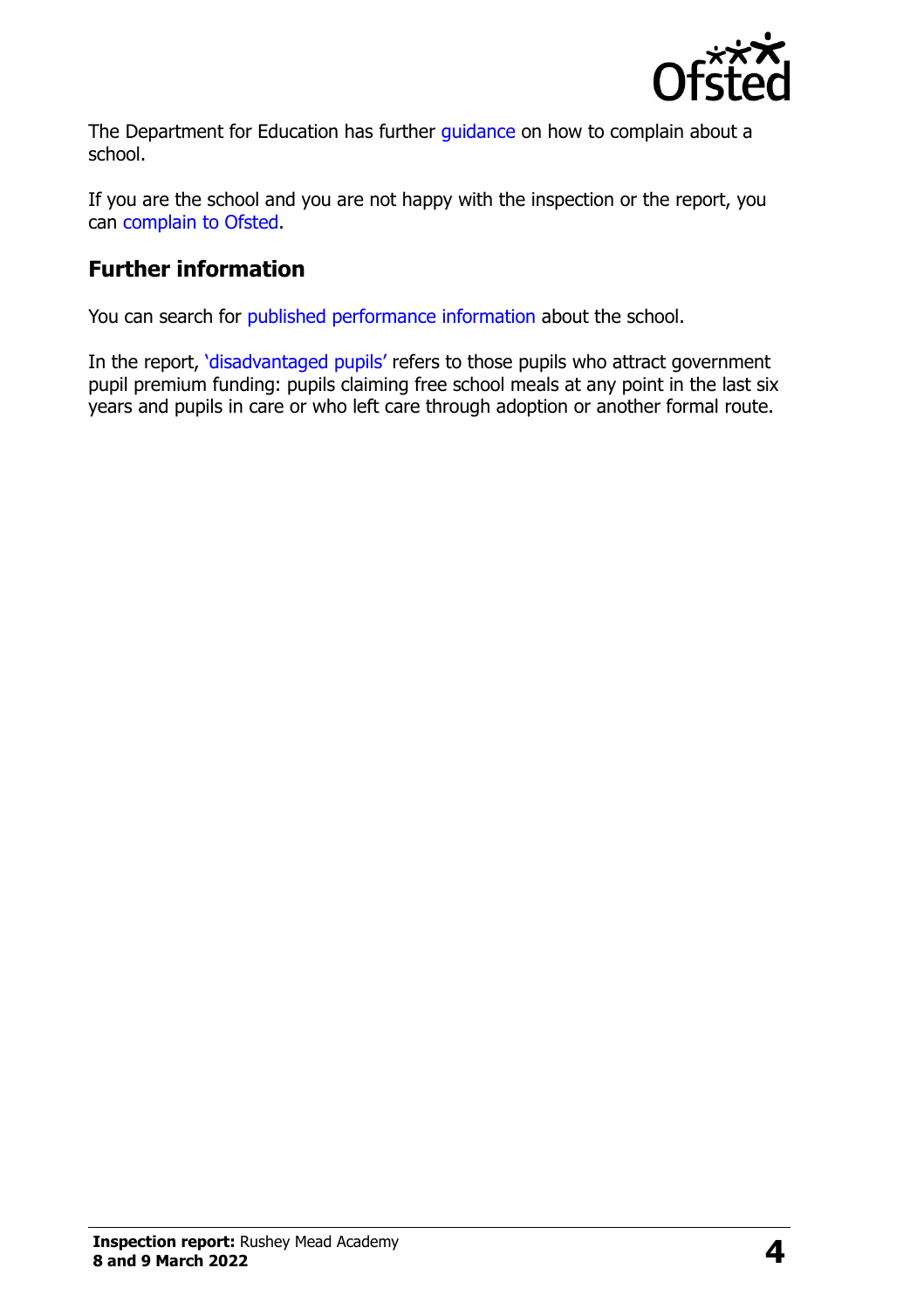

The Department for Education has further quidance on how to complain about a school.

If you are the school and you are not happy with the inspection or the report, you can [complain to Ofsted.](http://www.gov.uk/complain-ofsted-report)

## **Further information**

You can search for [published performance information](http://www.compare-school-performance.service.gov.uk/) about the school.

In the report, '[disadvantaged pupils](http://www.gov.uk/guidance/pupil-premium-information-for-schools-and-alternative-provision-settings)' refers to those pupils who attract government pupil premium funding: pupils claiming free school meals at any point in the last six years and pupils in care or who left care through adoption or another formal route.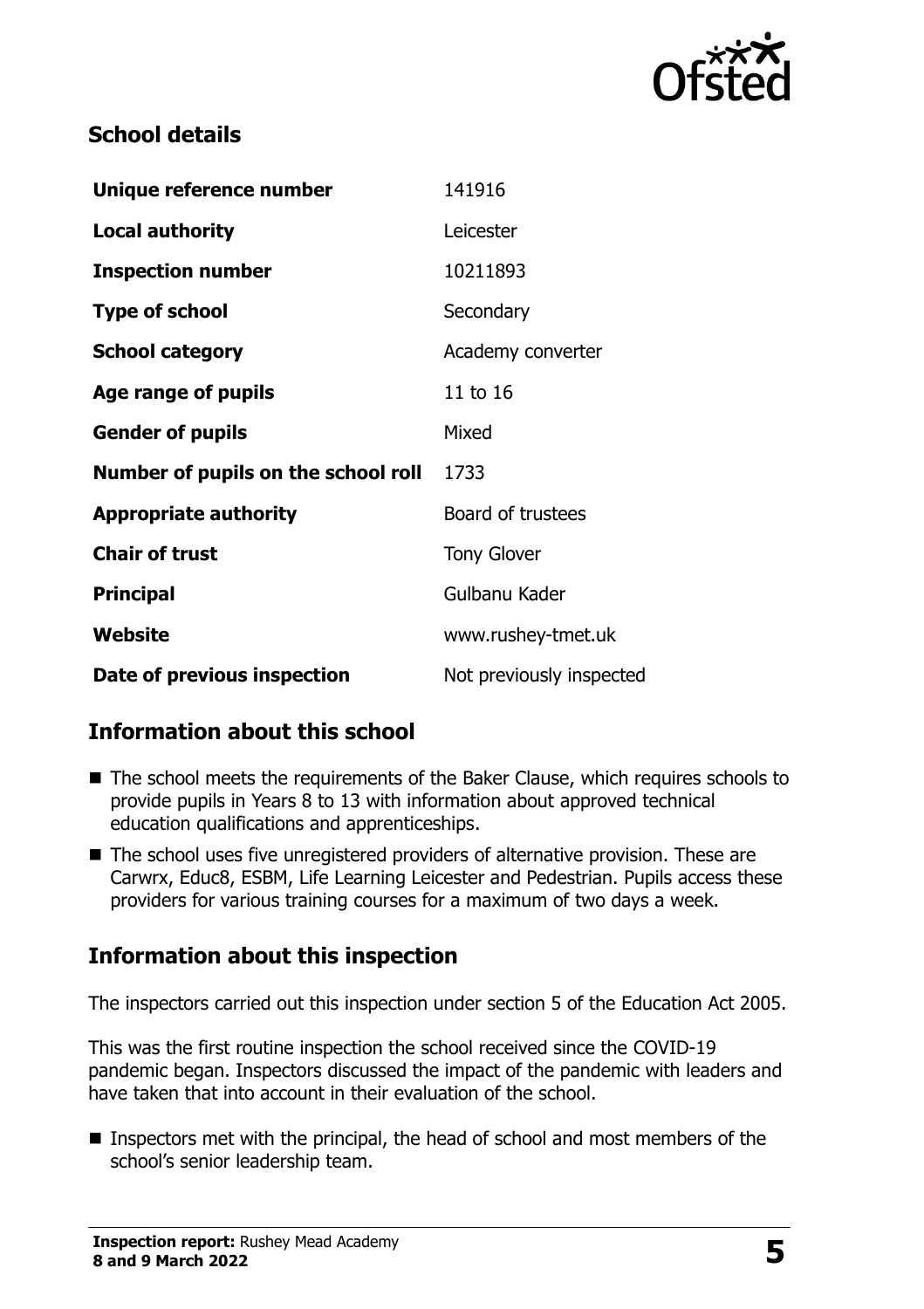

#### **School details**

| Unique reference number             | 141916                   |
|-------------------------------------|--------------------------|
| <b>Local authority</b>              | Leicester                |
| <b>Inspection number</b>            | 10211893                 |
| <b>Type of school</b>               | Secondary                |
| <b>School category</b>              | Academy converter        |
| <b>Age range of pupils</b>          | 11 to 16                 |
| <b>Gender of pupils</b>             | Mixed                    |
| Number of pupils on the school roll | 1733                     |
| <b>Appropriate authority</b>        | Board of trustees        |
| <b>Chair of trust</b>               | <b>Tony Glover</b>       |
| <b>Principal</b>                    | Gulbanu Kader            |
| Website                             | www.rushey-tmet.uk       |
| Date of previous inspection         | Not previously inspected |

### **Information about this school**

- The school meets the requirements of the Baker Clause, which requires schools to provide pupils in Years 8 to 13 with information about approved technical education qualifications and apprenticeships.
- The school uses five unregistered providers of alternative provision. These are Carwrx, Educ8, ESBM, Life Learning Leicester and Pedestrian. Pupils access these providers for various training courses for a maximum of two days a week.

# **Information about this inspection**

The inspectors carried out this inspection under section 5 of the Education Act 2005.

This was the first routine inspection the school received since the COVID-19 pandemic began. Inspectors discussed the impact of the pandemic with leaders and have taken that into account in their evaluation of the school.

■ Inspectors met with the principal, the head of school and most members of the school's senior leadership team.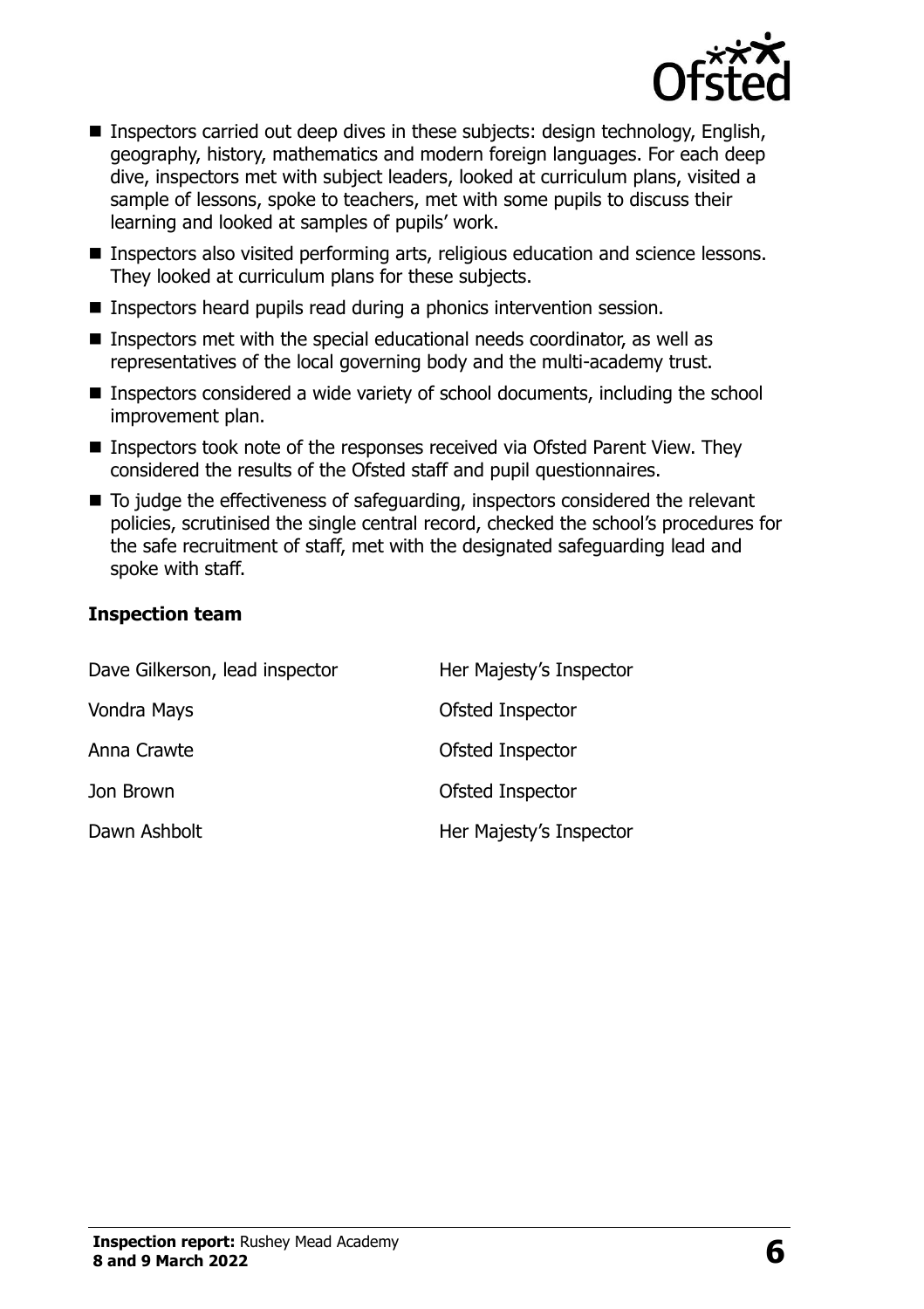

- Inspectors carried out deep dives in these subjects: design technology, English, geography, history, mathematics and modern foreign languages. For each deep dive, inspectors met with subject leaders, looked at curriculum plans, visited a sample of lessons, spoke to teachers, met with some pupils to discuss their learning and looked at samples of pupils' work.
- Inspectors also visited performing arts, religious education and science lessons. They looked at curriculum plans for these subjects.
- Inspectors heard pupils read during a phonics intervention session.
- Inspectors met with the special educational needs coordinator, as well as representatives of the local governing body and the multi-academy trust.
- Inspectors considered a wide variety of school documents, including the school improvement plan.
- Inspectors took note of the responses received via Ofsted Parent View. They considered the results of the Ofsted staff and pupil questionnaires.
- To judge the effectiveness of safeguarding, inspectors considered the relevant policies, scrutinised the single central record, checked the school's procedures for the safe recruitment of staff, met with the designated safeguarding lead and spoke with staff.

#### **Inspection team**

| Dave Gilkerson, lead inspector | Her Majesty's Inspector |
|--------------------------------|-------------------------|
| Vondra Mays                    | Ofsted Inspector        |
| Anna Crawte                    | Ofsted Inspector        |
| Jon Brown                      | Ofsted Inspector        |
| Dawn Ashbolt                   | Her Majesty's Inspector |